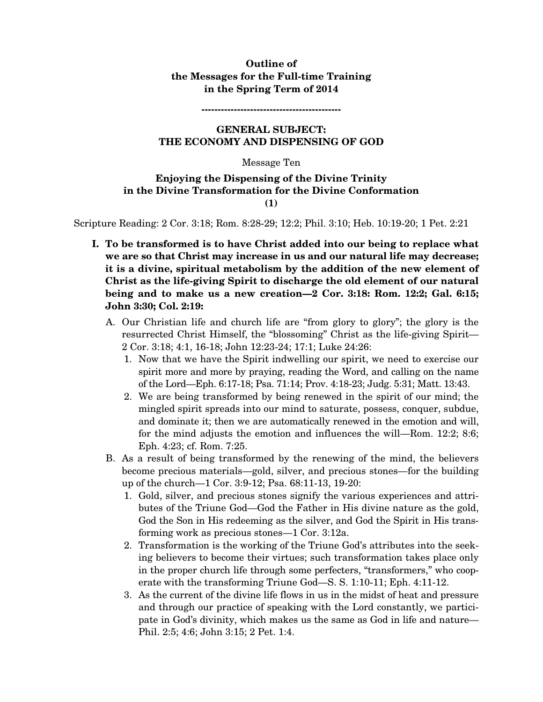### **Outline of the Messages for the Full-time Training in the Spring Term of 2014**

**-------------------------------------------** 

### **GENERAL SUBJECT: THE ECONOMY AND DISPENSING OF GOD**

#### Message Ten

### **Enjoying the Dispensing of the Divine Trinity in the Divine Transformation for the Divine Conformation (1)**

Scripture Reading: 2 Cor. 3:18; Rom. 8:28-29; 12:2; Phil. 3:10; Heb. 10:19-20; 1 Pet. 2:21

- **I. To be transformed is to have Christ added into our being to replace what we are so that Christ may increase in us and our natural life may decrease; it is a divine, spiritual metabolism by the addition of the new element of Christ as the life-giving Spirit to discharge the old element of our natural being and to make us a new creation—2 Cor. 3:18: Rom. 12:2; Gal. 6:15; John 3:30; Col. 2:19:** 
	- A. Our Christian life and church life are "from glory to glory"; the glory is the resurrected Christ Himself, the "blossoming" Christ as the life-giving Spirit— 2 Cor. 3:18; 4:1, 16-18; John 12:23-24; 17:1; Luke 24:26:
		- 1. Now that we have the Spirit indwelling our spirit, we need to exercise our spirit more and more by praying, reading the Word, and calling on the name of the Lord—Eph. 6:17-18; Psa. 71:14; Prov. 4:18-23; Judg. 5:31; Matt. 13:43.
		- 2. We are being transformed by being renewed in the spirit of our mind; the mingled spirit spreads into our mind to saturate, possess, conquer, subdue, and dominate it; then we are automatically renewed in the emotion and will, for the mind adjusts the emotion and influences the will—Rom. 12:2; 8:6; Eph. 4:23; cf. Rom. 7:25.
	- B. As a result of being transformed by the renewing of the mind, the believers become precious materials—gold, silver, and precious stones—for the building up of the church—1 Cor. 3:9-12; Psa. 68:11-13, 19-20:
		- 1. Gold, silver, and precious stones signify the various experiences and attributes of the Triune God—God the Father in His divine nature as the gold, God the Son in His redeeming as the silver, and God the Spirit in His transforming work as precious stones—1 Cor. 3:12a.
		- 2. Transformation is the working of the Triune God's attributes into the seeking believers to become their virtues; such transformation takes place only in the proper church life through some perfecters, "transformers," who cooperate with the transforming Triune God—S. S. 1:10-11; Eph. 4:11-12.
		- 3. As the current of the divine life flows in us in the midst of heat and pressure and through our practice of speaking with the Lord constantly, we participate in God's divinity, which makes us the same as God in life and nature— Phil. 2:5; 4:6; John 3:15; 2 Pet. 1:4.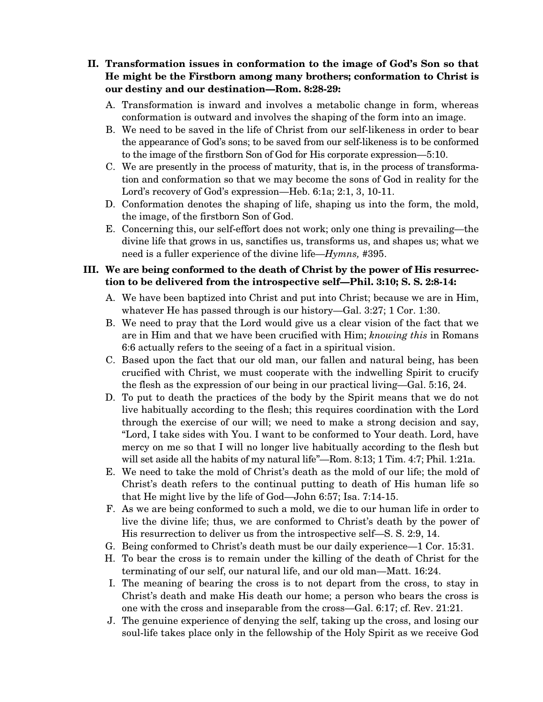# **II. Transformation issues in conformation to the image of God's Son so that He might be the Firstborn among many brothers; conformation to Christ is our destiny and our destination—Rom. 8:28-29:**

- A. Transformation is inward and involves a metabolic change in form, whereas conformation is outward and involves the shaping of the form into an image.
- B. We need to be saved in the life of Christ from our self-likeness in order to bear the appearance of God's sons; to be saved from our self-likeness is to be conformed to the image of the firstborn Son of God for His corporate expression—5:10.
- C. We are presently in the process of maturity, that is, in the process of transformation and conformation so that we may become the sons of God in reality for the Lord's recovery of God's expression—Heb. 6:1a; 2:1, 3, 10-11.
- D. Conformation denotes the shaping of life, shaping us into the form, the mold, the image, of the firstborn Son of God.
- E. Concerning this, our self-effort does not work; only one thing is prevailing—the divine life that grows in us, sanctifies us, transforms us, and shapes us; what we need is a fuller experience of the divine life—*Hymns,* #395.

# **III. We are being conformed to the death of Christ by the power of His resurrection to be delivered from the introspective self—Phil. 3:10; S. S. 2:8-14:**

- A. We have been baptized into Christ and put into Christ; because we are in Him, whatever He has passed through is our history—Gal. 3:27; 1 Cor. 1:30.
- B. We need to pray that the Lord would give us a clear vision of the fact that we are in Him and that we have been crucified with Him; *knowing this* in Romans 6:6 actually refers to the seeing of a fact in a spiritual vision.
- C. Based upon the fact that our old man, our fallen and natural being, has been crucified with Christ, we must cooperate with the indwelling Spirit to crucify the flesh as the expression of our being in our practical living—Gal. 5:16, 24.
- D. To put to death the practices of the body by the Spirit means that we do not live habitually according to the flesh; this requires coordination with the Lord through the exercise of our will; we need to make a strong decision and say, "Lord, I take sides with You. I want to be conformed to Your death. Lord, have mercy on me so that I will no longer live habitually according to the flesh but will set aside all the habits of my natural life"—Rom. 8:13; 1 Tim. 4:7; Phil. 1:21a.
- E. We need to take the mold of Christ's death as the mold of our life; the mold of Christ's death refers to the continual putting to death of His human life so that He might live by the life of God—John 6:57; Isa. 7:14-15.
- F. As we are being conformed to such a mold, we die to our human life in order to live the divine life; thus, we are conformed to Christ's death by the power of His resurrection to deliver us from the introspective self—S. S. 2:9, 14.
- G. Being conformed to Christ's death must be our daily experience—1 Cor. 15:31.
- H. To bear the cross is to remain under the killing of the death of Christ for the terminating of our self, our natural life, and our old man—Matt. 16:24.
- I. The meaning of bearing the cross is to not depart from the cross, to stay in Christ's death and make His death our home; a person who bears the cross is one with the cross and inseparable from the cross—Gal. 6:17; cf. Rev. 21:21.
- J. The genuine experience of denying the self, taking up the cross, and losing our soul-life takes place only in the fellowship of the Holy Spirit as we receive God